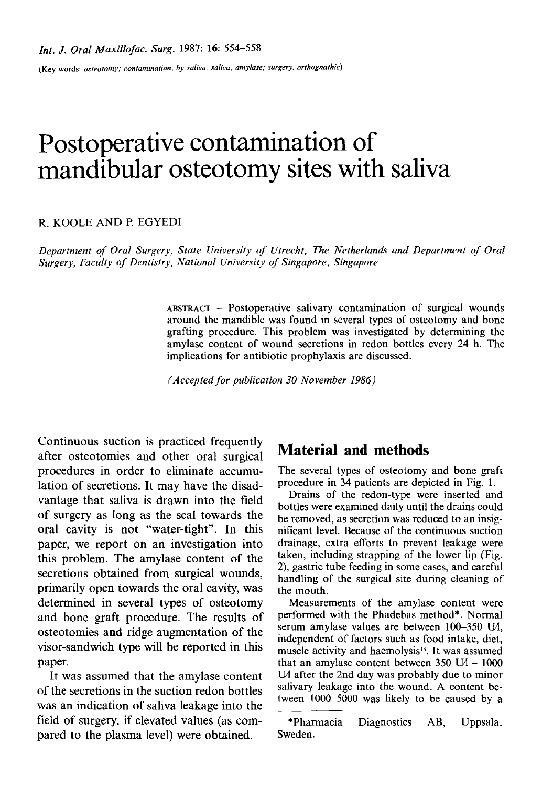(Key words: *osteotomy; contamination, by saliva; saliva; amylase; surgery, orthognathic)* 

# **Postoperative contamination of mandibular osteotomy sites with saliva**

#### R. KOOLE AND E EGYEDI

*Department of Oral Surgery, State University of Utrecht, The Netherlands and Department of Oral Surgery, Faculty of Dentistry, National University of Singapore, Singapore* 

> **ABSTRACT --** Postoperative salivary contamination of surgical wounds around the mandible was found in several types of osteotomy and bone grafting procedure. This problem was investigated by determining the amylase content of wound secretions in redon bottles every 24 h. The implications for antibiotic prophylaxis are discussed.

*(Accepted for publication 30 November 1986)* 

Continuous suction is practiced frequently after osteotomies and other oral surgical procedures in order to eliminate accumulation of secretions. It may have the disadvantage that saliva is drawn into the field of surgery as long as the seal towards the oral cavity is not "water-tight". In this paper, we report on an investigation into this problem. The amylase content of the secretions obtained from surgical wounds, primarily open towards the oral cavity, was determined in several types of osteotomy and bone graft procedure. The results of osteotomies and ridge augmentation of the visor-sandwich type will be reported in this paper.

It was assumed that the amylase content of the secretions in the suction redon bottles was an indication of saliva leakage into the field of surgery, if elevated values (as compared to the plasma level) were obtained.

# **Material and methods**

The several types of osteotomy and bone graft procedure in 34 patients are depicted in Fig. 1.

Drains of the redon-type were inserted and bottles were examined daily until the drains could be removed, as secretion was reduced to an insignificant level. Because of the continuous suction drainage, extra efforts to prevent leakage were taken, including strapping of the lower lip (Fig. 2), gastric tube feeding in some cases, and careful handling of the surgical site during cleaning of the mouth.

Measurements of the amylase content were performed with the Phadebas method\*. Normal serum amylase values are between  $100-350$  L $\mu$ , independent of factors such as food intake, diet, muscle activity and haemolysis<sup>13</sup>. It was assumed that an amylase content between  $350 \text{ U}$  -  $1000$ U<sub>d</sub> after the 2nd day was probably due to minor salivary leakage into the wound. A content between 1000-5000 was likely to be caused by a

<sup>\*</sup>Pharmacia Diagnostics AB, Uppsala, Sweden.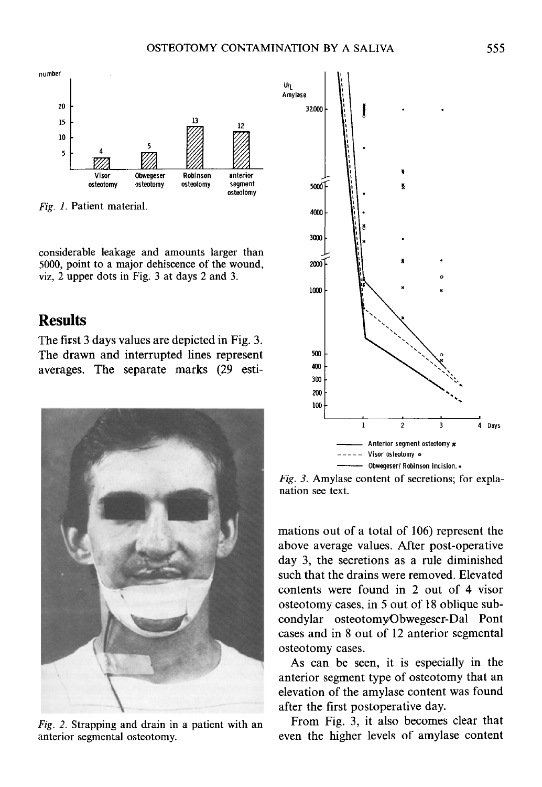U/L



*Fig. 1.* **Patient material.** 

**considerable leakage and amounts larger than 5000, point to a major dehiscence of the wound, viz, 2 upper dots in Fig. 3 at days 2 and 3.** 

## **Results**

**The first 3 days values are depicted in Fig. 3. The drawn and interrupted lines represent averages. The separate marks (29 esti-**



*Fig. 2.* **Strapping and drain in a patient with an anterior segmental osteotomy.** 



*Fig. 3.* **Amylase content of secretions; for explanation see text.** 

**mations out of a total of 106) represent the above average values. After post-operative day 3, the secretions as a rule diminished such that the drains were removed. Elevated contents were found in 2 out of 4 visor osteotomy cases, in 5 out of 18 oblique subcondylar osteotomy/Obwegeser-Dal Pont cases and in 8 out of 12 anterior segmental osteotomy cases.** 

**As can be seen, it is especially in the anterior segment type of osteotomy that an elevation of the amylase content was found after the first postoperative day.** 

**From Fig. 3, it also becomes clear that even the higher levels of amylase content**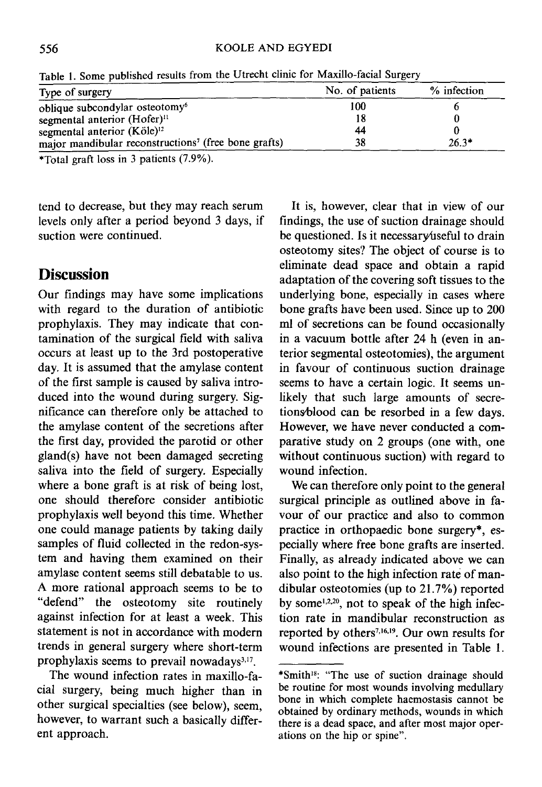#### 556 KOOLE AND EGYEDI

| Type of surgery                                                  | No. of patients | % infection |
|------------------------------------------------------------------|-----------------|-------------|
| oblique subcondylar osteotomy <sup>6</sup>                       | 100             |             |
| segmental anterior (Hofer) <sup>11</sup>                         | 18              |             |
| segmental anterior (Köle) <sup>12</sup>                          | 44              |             |
| major mandibular reconstructions <sup>7</sup> (free bone grafts) | 38              | $26.3*$     |
|                                                                  |                 |             |

Table 1. Some published results from the Utrecht clinic for Maxillo-facial Surgery

\*Total graft loss in 3 patients (7.9%).

tend to decrease, but they may reach serum levels only after a period beyond 3 days, if suction were continued.

## **Discussion**

Our findings may have some implications with regard to the duration of antibiotic prophylaxis. They may indicate that contamination of the surgical field with saliva occurs at least up to the 3rd postoperative day. It is assumed that the amylase content of the first sample is caused by saliva introduced into the wound during surgery. Significance can therefore only be attached to the amylase content of the secretions after the first day, provided the parotid or other gland(s) have not been damaged secreting saliva into the field of surgery. Especially where a bone graft is at risk of being lost, one should therefore consider antibiotic prophylaxis well beyond this time. Whether one could manage patients by taking daily samples of fluid collected in the redon-systern and having them examined on their amylase content seems still debatable to us. A more rational approach seems to be to "defend" the osteotomy site routinely against infection for at least a week. This statement is not in accordance with modern trends in general surgery where short-term prophylaxis seems to prevail nowadays $3,17$ .

The wound infection rates in maxillo-facial surgery, being much higher than in other surgical specialties (see below), seem, however, to warrant such a basically different approach.

It is, however, clear that in view of our findings, the use of suction drainage should be questioned. Is it necessary useful to drain osteotomy sites? The object of course is to eliminate dead space and obtain a rapid adaptation of the covering soft tissues to the underlying bone, especially in cases where bone grafts have been used. Since up to 200 ml of secretions can be found occasionally in a vacuum bottle after 24 h (even in anterior segmental osteotomies), the argument in favour of continuous suction drainage seems to have a certain logic. It seems unlikely that such large amounts of secretions/blood can be resorbed in a few days. However, we have never conducted a comparative study on 2 groups (one with, one without continuous suction) with regard to wound infection.

We can therefore only point to the general surgical principle as outlined above in favour of our practice and also to common practice in orthopaedic bone surgery\*, especially where free bone grafts are inserted. Finally, as already indicated above we can also point to the high infection rate of mandibular osteotomies (up to 21.7%) reported by some<sup>1,2,20</sup>, not to speak of the high infection rate in mandibular reconstruction as reported by others<sup>7,16,19</sup>. Our own results for wound infections are presented in Table 1.

<sup>\*</sup>Smith<sup>18</sup>: "The use of suction drainage should be routine for most wounds involving medullary bone in which complete haemostasis cannot be obtained by ordinary methods, wounds in which there is a dead space, and after most major operations on the hip or spine".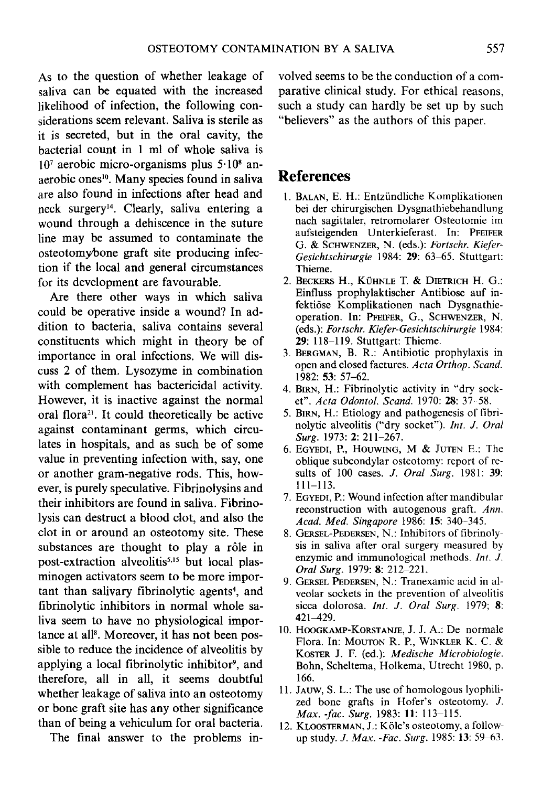As to the question of whether leakage of saliva can be equated with the increased likelihood of infection, the following considerations seem relevant. Saliva is sterile as it is secreted, but in the oral cavity, the bacterial count in 1 ml of whole saliva is  $10<sup>7</sup>$  aerobic micro-organisms plus  $5 \cdot 10<sup>8</sup>$  anaerobic ones<sup>10</sup>. Many species found in saliva are also found in infections after head and neck surgery<sup>14</sup>. Clearly, saliva entering a wound through a dehiscence in the suture line may be assumed to contaminate the osteotomy/bone graft site producing infection if the local and general circumstances for its development are favourable.

Are there other ways in which saliva could be operative inside a wound? In addition to bacteria, saliva contains several constituents which might in theory be of importance in oral infections. We will discuss 2 of them. Lysozyme in combination with complement has bactericidal activity. However, it is inactive against the normal oral flora<sup>21</sup>. It could theoretically be active against contaminant germs, which circulates in hospitals, and as such be of some value in preventing infection with, say, one or another gram-negative rods. This, however, is purely speculative. Fibrinolysins and their inhibitors are found in saliva. Fibrinolysis can destruct a blood clot, and also the clot in or around an osteotomy site. These substances are thought to play a rôle in post-extraction alveolitis<sup>5,15</sup> but local plasminogen activators seem to be more important than salivary fibrinolytic agents<sup>4</sup>, and fibrinolytic inhibitors in normal whole saliva seem to have no physiological importance at all<sup>8</sup>. Moreover, it has not been possible to reduce the incidence of alveolitis by applying a local fibrinolytic inhibitor<sup>9</sup>, and therefore, all in all, it seems doubtful whether leakage of saliva into an osteotomy or bone graft site has any other significance than of being a vehiculum for oral bacteria.

The final answer to the problems in-

volved seems to be the conduction of a comparative clinical study. For ethical reasons, such a study can hardly be set up by such "believers" as the authors of this paper.

## **References**

- 1. BALAN, E. H.: Entzündliche Komplikationen bei der chirurgischen Dysgnathiebehandlung nach sagittaler, retromolarer Osteotomie im aufsteigenden Unterkieferast. In: PFEIFER G. & SCHWENZER, N. (eds.): Fortschr. Kiefer-*Gesichtschirurgie* 1984: 29: 63-65. Stuttgart: Thieme.
- 2. BECKERS H., KÜHNLE T. & DIETRICH H. G.: Einfluss prophylaktischer Antibiose auf infekti6se Komplikationen nach Dysgnathieoperation. In: PFEIFER, G., SCHWENZER, N. (eds.): *Fortsehr. Kiefer-Gesiehtschirurgie* 1984: **29:118-119.** Stuttgart: Thieme.
- 3. BERGMAN, B. R.: Antibiotic prophylaxis in open and closed factures. *Acta Orthop. Seand.*  1982: 53: 57-62.
- 4. BIRN, H.: Fibrinolytic activity in "dry socket". *Aeta Odontol. Seand.* 1970: 28:37 58.
- 5. BIRN, H.: Etiology and pathogenesis of fibrinolytic alveolitis ("dry socket"). *Int. J. Oral Surg.* 1973: 2: 211-267.
- 6. EGYEDI, P., HOUWING, M & JUTEN E.: The oblique subcondylar osteotomy: report of resuits of 100 cases. *J. Oral Surg.* 1981: 39: 111-113.
- 7. EGYEDI, P.: Wound infection after mandibular reconstruction with autogenous graft. *Ann. Aead. Med. Singapore* 1986: 15: 340-345.
- 8. GERSEL-PEDERSEN, N.: Inhibitors of fibrinolysis in saliva after oral surgery measured by enzymic and immunological methods. *Int. J. Oral Surg.* 1979: 8: 212-221.
- 9. GERSEL PEDERSEN, N.: Tranexamic acid in alveolar sockets in the prevention of alveolitis sicca dolorosa, *Int. J. Oral Surg.* 1979; 8: 421-429.
- 10. HOOGKAMP-KORSTANJE, J. J. A.: De normale Flora. In: MOUTON R. P., WINKLER K. C. & KOSTER J. F. (ed.): *Medische Microbiologie.*  Bohn, Scheltema, Holkema, Utrecht 1980, p. 166.
- 11. Jauw, S. L.: The use of homologous lyophilized bone grafts in Hofer's osteotomy. J. *Max. -fac. Surg.* 1983: 11: 113-115.
- 12. KLOOSTERMAN, J.: Köle's osteotomy, a followup study. *J. Max. -Fac. Surg.* 1985: 13: 59-63.